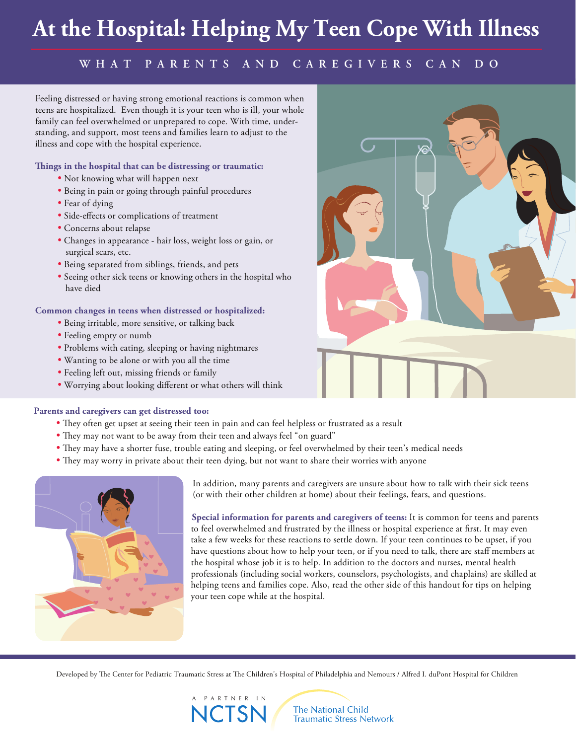# **At the Hospital: Helping My Teen Cope With Illness**

### **WHAT PARENTS AND CAREGIVERS CAN DO**

Feeling distressed or having strong emotional reactions is common when teens are hospitalized. Even though it is your teen who is ill, your whole family can feel overwhelmed or unprepared to cope. With time, understanding, and support, most teens and families learn to adjust to the illness and cope with the hospital experience.

**ings in the hospital that can be distressing or traumatic:** 

- Not knowing what will happen next
- Being in pain or going through painful procedures
- Fear of dying
- Side-effects or complications of treatment
- Concerns about relapse
- Changes in appearance hair loss, weight loss or gain, or surgical scars, etc.
- Being separated from siblings, friends, and pets
- Seeing other sick teens or knowing others in the hospital who have died

#### **Common changes in teens when distressed or hospitalized:**

- Being irritable, more sensitive, or talking back
- Feeling empty or numb
- Problems with eating, sleeping or having nightmares
- Wanting to be alone or with you all the time
- Feeling left out, missing friends or family
- Worrying about looking different or what others will think



#### **Parents and caregivers can get distressed too:**

- They often get upset at seeing their teen in pain and can feel helpless or frustrated as a result
- They may not want to be away from their teen and always feel "on guard"
- They may have a shorter fuse, trouble eating and sleeping, or feel overwhelmed by their teen's medical needs
- They may worry in private about their teen dying, but not want to share their worries with anyone



 In addition, many parents and caregivers are unsure about how to talk with their sick teens (or with their other children at home) about their feelings, fears, and questions.

 **Special information for parents and caregivers of teens:** It is common for teens and parents to feel overwhelmed and frustrated by the illness or hospital experience at first. It may even take a few weeks for these reactions to settle down. If your teen continues to be upset, if you have questions about how to help your teen, or if you need to talk, there are staff members at the hospital whose job it is to help. In addition to the doctors and nurses, mental health professionals (including social workers, counselors, psychologists, and chaplains) are skilled at helping teens and families cope. Also, read the other side of this handout for tips on helping your teen cope while at the hospital.

Developed by The Center for Pediatric Traumatic Stress at The Children's Hospital of Philadelphia and Nemours / Alfred I. duPont Hospital for Children



**The National Child Traumatic Stress Network**